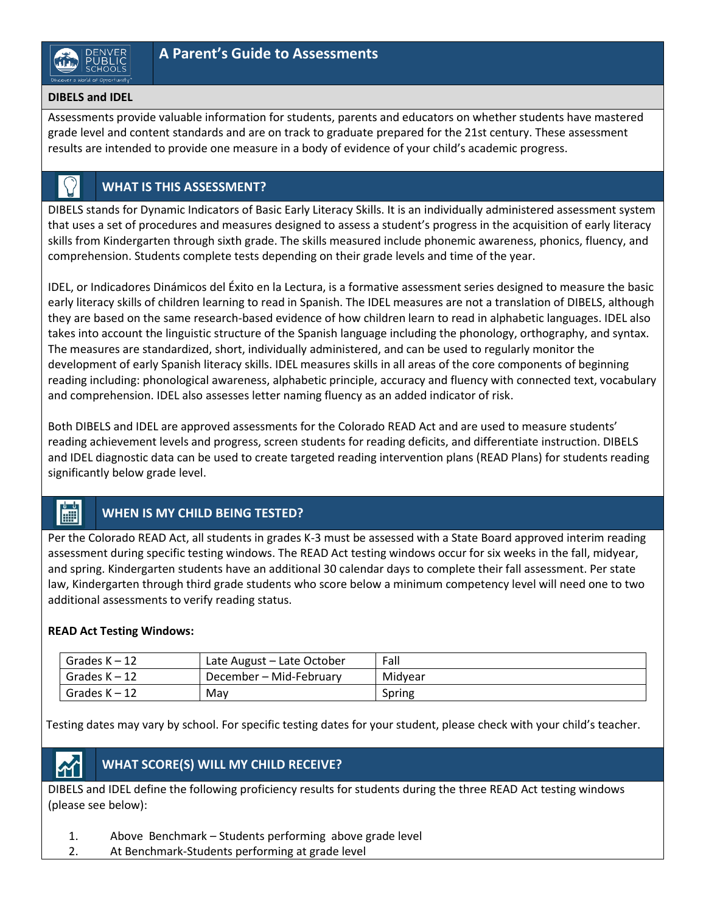### **DIBELS and IDEL**

Assessments provide valuable information for students, parents and educators on whether students have mastered grade level and content standards and are on track to graduate prepared for the 21st century. These assessment results are intended to provide one measure in a body of evidence of your child's academic progress.

## **WHAT IS THIS ASSESSMENT?**

DIBELS stands for Dynamic Indicators of Basic Early Literacy Skills. It is an individually administered assessment system that uses a set of procedures and measures designed to assess a student's progress in the acquisition of early literacy skills from Kindergarten through sixth grade. The skills measured include phonemic awareness, phonics, fluency, and comprehension. Students complete tests depending on their grade levels and time of the year.

IDEL, or Indicadores Dinámicos del Éxito en la Lectura, is a formative assessment series designed to measure the basic early literacy skills of children learning to read in Spanish. The IDEL measures are not a translation of DIBELS, although they are based on the same research-based evidence of how children learn to read in alphabetic languages. IDEL also takes into account the linguistic structure of the Spanish language including the phonology, orthography, and syntax. The measures are standardized, short, individually administered, and can be used to regularly monitor the development of early Spanish literacy skills. IDEL measures skills in all areas of the core components of beginning reading including: phonological awareness, alphabetic principle, accuracy and fluency with connected text, vocabulary and comprehension. IDEL also assesses letter naming fluency as an added indicator of risk.

Both DIBELS and IDEL are approved assessments for the Colorado READ Act and are used to measure students' reading achievement levels and progress, screen students for reading deficits, and differentiate instruction. DIBELS and IDEL diagnostic data can be used to create targeted reading intervention plans (READ Plans) for students reading significantly below grade level.

#### 圖 **WHEN IS MY CHILD BEING TESTED?**

Per the Colorado READ Act, all students in grades K-3 must be assessed with a State Board approved interim reading assessment during specific testing windows. The READ Act testing windows occur for six weeks in the fall, midyear, and spring. Kindergarten students have an additional 30 calendar days to complete their fall assessment. Per state law, Kindergarten through third grade students who score below a minimum competency level will need one to two additional assessments to verify reading status.

### **READ Act Testing Windows:**

| Grades $K - 12$ | Late August – Late October | Fall    |
|-----------------|----------------------------|---------|
| Grades K - 12   | December – Mid-February    | Midyear |
| Grades K - 12   | Mav                        | Spring  |

Testing dates may vary by school. For specific testing dates for your student, please check with your child's teacher.

# **WHAT SCORE(S) WILL MY CHILD RECEIVE?**

DIBELS and IDEL define the following proficiency results for students during the three READ Act testing windows (please see below):

- 1. Above Benchmark Students performing above grade level
- 2. At Benchmark-Students performing at grade level